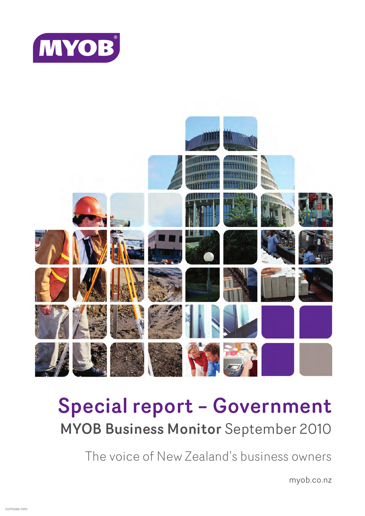



# Special report – Government MYOB Business Monitor September 2010

The voice of New Zealand's business owners

myob.co.nz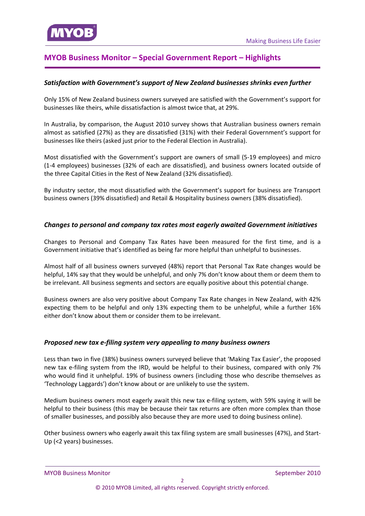# **MYOB Business Monitor – Special Government Report – Highlights**

## *Satisfaction with [Government's](#page-7-0) support of New Zealand businesses shrinks even further*

Only 15% of New Zealand business owners surveyed are satisfied with the Government's support for businesses like theirs, while dissatisfaction is almost twice that, at 29%.

In Australia, by comparison, the August 2010 survey shows that Australian business owners remain almost as satisfied (27%) as they are dissatisfied (31%) with their Federal Government's support for businesses like theirs (asked just prior to the Federal Election in Australia).

Most dissatisfied with the Government's support are owners of small (5‐19 employees) and micro (1‐4 employees) businesses (32% of each are dissatisfied), and business owners located outside of the three Capital Cities in the Rest of New Zealand (32% dissatisfied).

By industry sector, the most dissatisfied with the Government's support for business are Transport business owners (39% dissatisfied) and Retail & Hospitality business owners (38% dissatisfied).

## *Changes to personal and company tax rates most eagerly awaited [Government](#page-10-0) initiatives*

Changes to Personal and Company Tax Rates have been measured for the first time, and is a Government initiative that's identified as being far more helpful than unhelpful to businesses.

Almost half of all business owners surveyed (48%) report that Personal Tax Rate changes would be helpful, 14% say that they would be unhelpful, and only 7% don't know about them or deem them to be irrelevant. All business segments and sectors are equally positive about this potential change.

Business owners are also very positive about Company Tax Rate changes in New Zealand, with 42% expecting them to be helpful and only 13% expecting them to be unhelpful, while a further 16% either don't know about them or consider them to be irrelevant.

#### *Proposed new tax e‐filing system very [appealing](#page-10-0) to many business owners*

Less than two in five (38%) business owners surveyed believe that 'Making Tax Easier', the proposed new tax e-filing system from the IRD, would be helpful to their business, compared with only 7% who would find it unhelpful. 19% of business owners (including those who describe themselves as 'Technology Laggards') don't know about or are unlikely to use the system.

Medium business owners most eagerly await this new tax e-filing system, with 59% saying it will be helpful to their business (this may be because their tax returns are often more complex than those of smaller businesses, and possibly also because they are more used to doing business online).

Other business owners who eagerly await this tax filing system are small businesses (47%), and Start‐ Up (<2 years) businesses.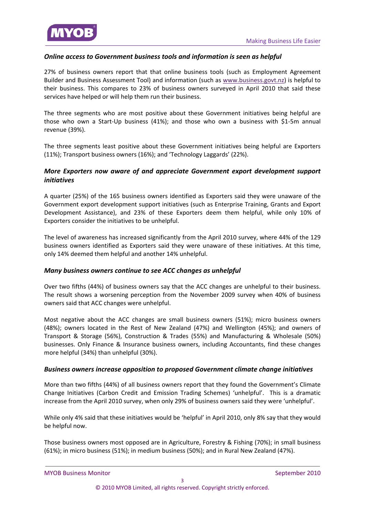

## *Online access to Government business tools and information is seen as helpful*

27% of business owners report that that online business tools (such as Employment Agreement Builder and Business Assessment Tool) and information (such as [www.business.govt.nz\)](#page-11-0) is helpful to their business. This compares to 23% of business owners surveyed in April 2010 that said these services have helped or will help them run their business.

The three segments who are most positive about these Government initiatives being helpful are those who own a Start‐Up business (41%); and those who own a business with \$1‐5m annual revenue (39%).

The three segments least positive about these Government initiatives being helpful are Exporters (11%); Transport business owners (16%); and 'Technology Laggards' (22%).

## *More Exporters now aware of and appreciate Government export [development](#page-11-0) support initiatives*

A quarter (25%) of the 165 business owners identified as Exporters said they were unaware of the Government export development support initiatives (such as Enterprise Training, Grants and Export Development Assistance), and 23% of these Exporters deem them helpful, while only 10% of Exporters consider the initiatives to be unhelpful.

The level of awareness has increased significantly from the April 2010 survey, where 44% of the 129 business owners identified as Exporters said they were unaware of these initiatives. At this time, only 14% deemed them helpful and another 14% unhelpful.

### *Many business owners continue to see ACC changes as [unhelpful](#page-11-0)*

Over two fifths (44%) of business owners say that the ACC changes are unhelpful to their business. The result shows a worsening perception from the November 2009 survey when 40% of business owners said that ACC changes were unhelpful.

Most negative about the ACC changes are small business owners (51%); micro business owners (48%); owners located in the Rest of New Zealand (47%) and Wellington (45%); and owners of Transport & Storage (56%), Construction & Trades (55%) and Manufacturing & Wholesale (50%) businesses. Only Finance & Insurance business owners, including Accountants, find these changes more helpful (34%) than unhelpful (30%).

#### *Business owners increase opposition to proposed [Government](#page-11-0) climate change initiatives*

More than two fifths (44%) of all business owners report that they found the Government's Climate Change Initiatives (Carbon Credit and Emission Trading Schemes) 'unhelpful'. This is a dramatic increase from the April 2010 survey, when only 29% of business owners said they were 'unhelpful'.

While only 4% said that these initiatives would be 'helpful' in April 2010, only 8% say that they would be helpful now.

Those business owners most opposed are in Agriculture, Forestry & Fishing (70%); in small business (61%); in micro business (51%); in medium business (50%); and in Rural New Zealand (47%).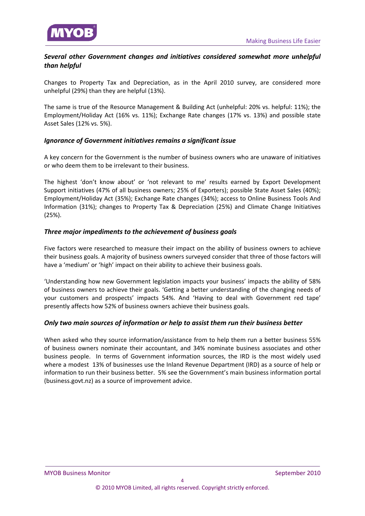## *Several other [Government](#page-11-0) changes and initiatives considered somewhat more unhelpful than helpful*

Changes to Property Tax and Depreciation, as in the April 2010 survey, are considered more unhelpful (29%) than they are helpful (13%).

The same is true of the Resource Management & Building Act (unhelpful: 20% vs. helpful: 11%); the Employment/Holiday Act (16% vs. 11%); Exchange Rate changes (17% vs. 13%) and possible state Asset Sales (12% vs. 5%).

## *Ignorance of [Government](#page-11-0) initiatives remains a significant issue*

A key concern for the Government is the number of business owners who are unaware of initiatives or who deem them to be irrelevant to their business.

The highest 'don't know about' or 'not relevant to me' results earned by Export Development Support initiatives (47% of all business owners; 25% of Exporters); possible State Asset Sales (40%); Employment/Holiday Act (35%); Exchange Rate changes (34%); access to Online Business Tools And Information (31%); changes to Property Tax & Depreciation (25%) and Climate Change Initiatives (25%).

## *Three major [impediments](#page-15-0) to the achievement of business goals*

Five factors were researched to measure their impact on the ability of business owners to achieve their business goals. A majority of business owners surveyed consider that three of those factors will have a 'medium' or 'high' impact on their ability to achieve their business goals.

'Understanding how new Government legislation impacts your business' impacts the ability of 58% of business owners to achieve their goals. 'Getting a better understanding of the changing needs of your customers and prospects' impacts 54%. And 'Having to deal with Government red tape' presently affects how 52% of business owners achieve their business goals.

## *Only two main sources of information or help to assist them run their business better*

When asked who they source [information/assistance](#page-16-0) from to help them run a better business 55% of business owners nominate their accountant, and 34% nominate business associates and other business people. In terms of Government information sources, the IRD is the most widely used where a modest 13% of businesses use the Inland Revenue Department (IRD) as a source of help or information to run their business better. 5% see the Government's main business information portal (business.govt.nz) as a source of improvement advice.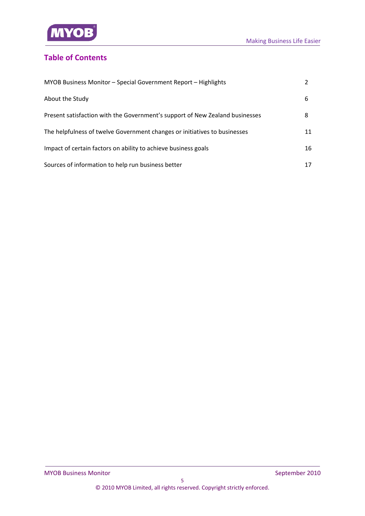

# **Table of Contents**

| MYOB Business Monitor - Special Government Report - Highlights               |    |
|------------------------------------------------------------------------------|----|
| About the Study                                                              | 6  |
| Present satisfaction with the Government's support of New Zealand businesses | 8  |
| The helpfulness of twelve Government changes or initiatives to businesses    | 11 |
| Impact of certain factors on ability to achieve business goals               | 16 |
| Sources of information to help run business better                           | 17 |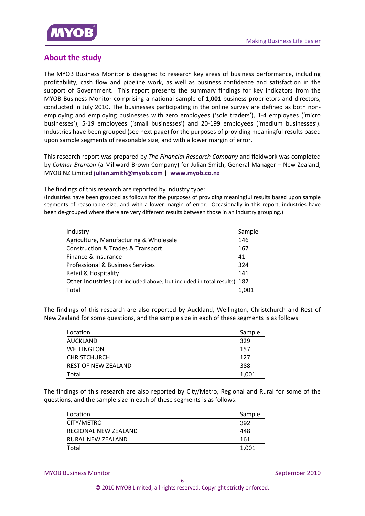

# **About the study**

The MYOB Business Monitor is designed to research key areas of business performance, including profitability, cash flow and pipeline work, as well as business confidence and satisfaction in the support of Government. This report presents the summary findings for key indicators from the MYOB Business Monitor comprising a national sample of **1,001** business proprietors and directors, conducted in July 2010. The businesses participating in the online survey are defined as both nonemploying and employing businesses with zero employees ('sole traders'), 1‐4 employees ('micro businesses'), 5‐19 employees ('small businesses') and 20‐199 employees ('medium businesses'). Industries have been grouped (see next page) for the purposes of providing meaningful results based upon sample segments of reasonable size, and with a lower margin of error.

This research report was prepared by *The Financial Research Company* and fieldwork was completed by *Colmar Brunton* (a Millward Brown Company) for Julian Smith, General Manager – New Zealand, MYOB NZ Limited **julian.smith@myob.com** | **www.myob.co.nz**

The findings of this research are reported by industry type:

(Industries have been grouped as follows for the purposes of providing meaningful results based upon sample segments of reasonable size, and with a lower margin of error. Occasionally in this report, industries have been de-grouped where there are very different results between those in an industry grouping.)

| Industry                                                                 | Sample |
|--------------------------------------------------------------------------|--------|
| Agriculture, Manufacturing & Wholesale                                   | 146    |
| <b>Construction &amp; Trades &amp; Transport</b>                         | 167    |
| Finance & Insurance                                                      | 41     |
| <b>Professional &amp; Business Services</b>                              | 324    |
| <b>Retail &amp; Hospitality</b>                                          | 141    |
| Other Industries (not included above, but included in total results) 182 |        |
| Total                                                                    | 1.001  |

The findings of this research are also reported by Auckland, Wellington, Christchurch and Rest of New Zealand for some questions, and the sample size in each of these segments is as follows:

| Location            | Sample |
|---------------------|--------|
| AUCKLAND            | 329    |
| <b>WELLINGTON</b>   | 157    |
| <b>CHRISTCHURCH</b> | 127    |
| REST OF NEW ZEALAND | 388    |
| Total               | 1,001  |

The findings of this research are also reported by City/Metro, Regional and Rural for some of the questions, and the sample size in each of these segments is as follows:

| Location             | Sample |
|----------------------|--------|
| CITY/METRO           | 392    |
| REGIONAL NEW ZEALAND | 448    |
| RURAL NEW ZEALAND    | 161    |
| Total                | 1,001  |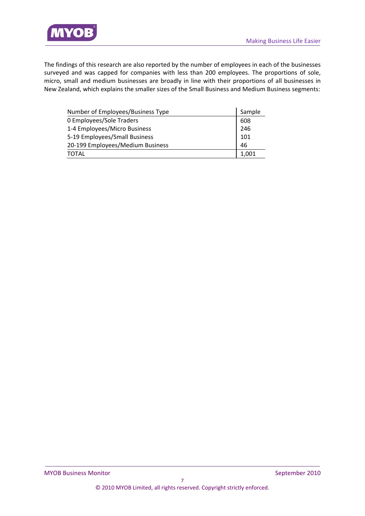

The findings of this research are also reported by the number of employees in each of the businesses surveyed and was capped for companies with less than 200 employees. The proportions of sole, micro, small and medium businesses are broadly in line with their proportions of all businesses in New Zealand, which explains the smaller sizes of the Small Business and Medium Business segments:

| Number of Employees/Business Type |       |
|-----------------------------------|-------|
| 0 Employees/Sole Traders          | 608   |
| 1-4 Employees/Micro Business      | 246   |
| 5-19 Employees/Small Business     |       |
| 20-199 Employees/Medium Business  |       |
| <b>TOTAL</b>                      | 1,001 |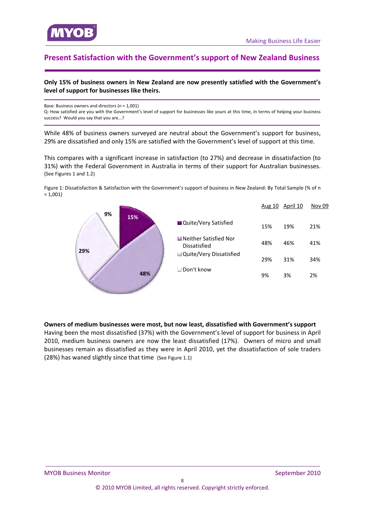<span id="page-7-0"></span>

# **Present Satisfaction with the Government's support of New Zealand Business**

#### **Only 15% of business owners in New Zealand are now presently satisfied with the Government's level of support for businesses like theirs.**

Base: Business owners and directors (n = 1,001)

Q: How satisfied are you with the Government's level of support for businesses like yours at this time, in terms of helping your business success? Would you say that you are...?

While 48% of business owners surveyed are neutral about the Government's support for business, 29% are dissatisfied and only 15% are satisfied with the Government's level of support at this time.

This compares with a significant increase in satisfaction (to 27%) and decrease in dissatisfaction (to 31%) with the Federal Government in Australia in terms of their support for Australian businesses. (See Figures 1 and 1.2)

Figure 1: Dissatisfaction & Satisfaction with the Government's support of business in New Zealand: By Total Sample (% of n  $= 1,001$ 



#### **Owners of medium businesses were most, but now least, dissatisfied with Government's support**

Having been the most dissatisfied (37%) with the Government's level of support for business in April 2010, medium business owners are now the least dissatisfied (17%). Owners of micro and small businesses remain as dissatisfied as they were in April 2010, yet the dissatisfaction of sole traders (28%) has waned slightly since that time (See Figure 1.1)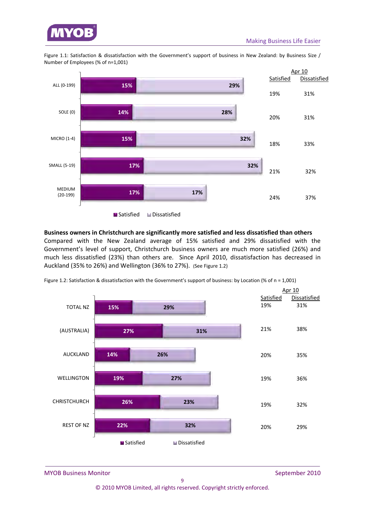

Figure 1.1: Satisfaction & dissatisfaction with the Government's support of business in New Zealand: by Business Size / Number of Employees (% of n=1,001)



**■** Satisfied ■ Dissatisfied

## **Business owners in Christchurch are significantly more satisfied and less dissatisfied than others**

Compared with the New Zealand average of 15% satisfied and 29% dissatisfied with the Government's level of support, Christchurch business owners are much more satisfied (26%) and much less dissatisfied (23%) than others are. Since April 2010, dissatisfaction has decreased in Auckland (35% to 26%) and Wellington (36% to 27%). (See Figure 1.2)



Figure 1.2: Satisfaction & dissatisfaction with the Government's support of business: by Location (% of n = 1,001)

MYOB Business Monitor *MYOB Business Monitor*  **1999** 

© 2010 MYOB Limited, all rights reserved. Copyright strictly enforced.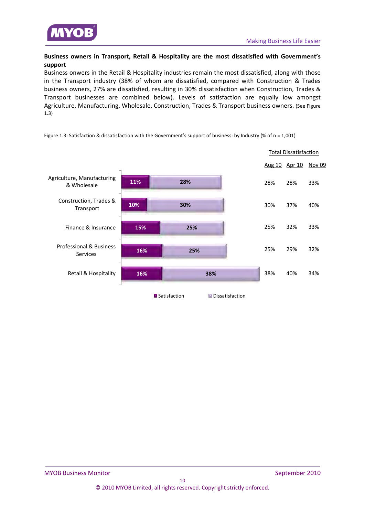

## **Business owners in Transport, Retail & Hospitality are the most dissatisfied with Government's support**

Business onwers in the Retail & Hospitality industries remain the most dissatisfied, along with those in the Transport industry (38% of whom are dissatisfied, compared with Construction & Trades business owners, 27% are dissatisfied, resulting in 30% dissatisfaction when Construction, Trades & Transport businesses are combined below). Levels of satisfaction are equally low amongst Agriculture, Manufacturing, Wholesale, Construction, Trades & Transport business owners. (See Figure 1.3)

|                                                       |     |              |                 | <b>Total Dissatisfaction</b> |     |        |
|-------------------------------------------------------|-----|--------------|-----------------|------------------------------|-----|--------|
|                                                       |     |              |                 | <u>Aug 10 Apr 10</u>         |     | Nov 09 |
| Agriculture, Manufacturing<br>& Wholesale             | 11% | 28%          |                 | 28%                          | 28% | 33%    |
| Construction, Trades &<br>Transport                   | 10% | 30%          |                 | 30%                          | 37% | 40%    |
| Finance & Insurance                                   | 15% | 25%          |                 | 25%                          | 32% | 33%    |
| <b>Professional &amp; Business</b><br><b>Services</b> | 16% | 25%          |                 | 25%                          | 29% | 32%    |
| Retail & Hospitality                                  | 16% | 38%          |                 | 38%                          | 40% | 34%    |
|                                                       |     | Satisfaction | Dissatisfaction |                              |     |        |

Figure 1.3: Satisfaction & dissatisfaction with the Government's support of business: by Industry (% of n = 1,001)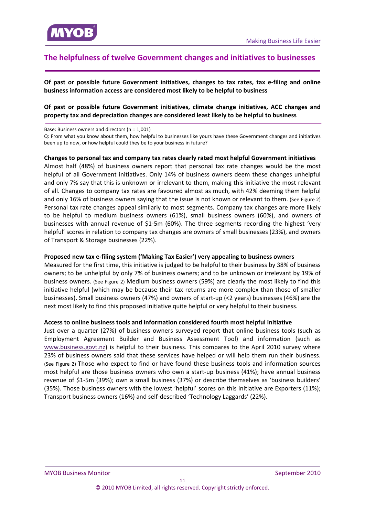<span id="page-10-0"></span>

## **The helpfulness of twelve Government changes and initiatives to businesses**

**Of past or possible future Government initiatives, changes to tax rates, tax e‐filing and online business information access are considered most likely to be helpful to business** 

#### **Of past or possible future Government initiatives, climate change initiatives, ACC changes and property tax and depreciation changes are considered least likely to be helpful to business**

Base: Business owners and directors (n = 1,001)

Q: From what you know about them, how helpful to businesses like yours have these Government changes and initiatives been up to now, or how helpful could they be to your business in future?

#### **Changes to personal tax and company tax rates clearly rated most helpful Government initiatives**

Almost half (48%) of business owners report that personal tax rate changes would be the most helpful of all Government initiatives. Only 14% of business owners deem these changes unhelpful and only 7% say that this is unknown or irrelevant to them, making this initiative the most relevant of all. Changes to company tax rates are favoured almost as much, with 42% deeming them helpful and only 16% of business owners saying that the issue is not known or relevant to them. (See Figure 2) Personal tax rate changes appeal similarly to most segments. Company tax changes are more likely to be helpful to medium business owners (61%), small business owners (60%), and owners of businesses with annual revenue of \$1‐5m (60%). The three segments recording the highest 'very helpful' scores in relation to company tax changes are owners of small businesses (23%), and owners of Transport & Storage businesses (22%).

#### **Proposed new tax e‐filing system ('Making Tax Easier') very appealing to business owners**

Measured for the first time, this initiative is judged to be helpful to their business by 38% of business owners; to be unhelpful by only 7% of business owners; and to be unknown or irrelevant by 19% of business owners. (See Figure 2) Medium business owners (59%) are clearly the most likely to find this initiative helpful (which may be because their tax returns are more complex than those of smaller businesses). Small business owners (47%) and owners of start‐up (<2 years) businesses (46%) are the next most likely to find this proposed initiative quite helpful or very helpful to their business.

#### **Access to online business tools and information considered fourth most helpful initiative**

Just over a quarter (27%) of business owners surveyed report that online business tools (such as Employment Agreement Builder and Business Assessment Tool) and information (such as www.business.govt.nz) is helpful to their business. This compares to the April 2010 survey where 23% of business owners said that these services have helped or will help them run their business. (See Figure 2) Those who expect to find or have found these business tools and information sources most helpful are those business owners who own a start-up business (41%); have annual business revenue of \$1‐5m (39%); own a small business (37%) or describe themselves as 'business builders' (35%). Those business owners with the lowest 'helpful' scores on this initiative are Exporters (11%); Transport business owners (16%) and self‐described 'Technology Laggards' (22%).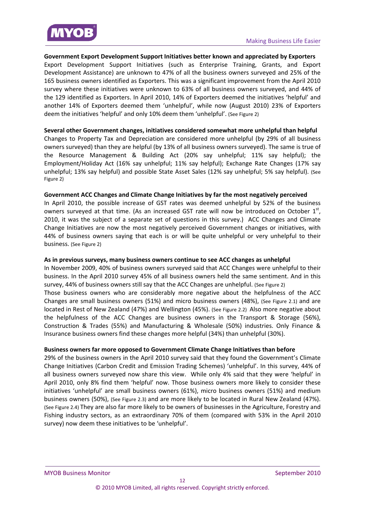<span id="page-11-0"></span>

#### **Government Export Development Support Initiatives better known and appreciated by Exporters**

Export Development Support Initiatives (such as Enterprise Training, Grants, and Export Development Assistance) are unknown to 47% of all the business owners surveyed and 25% of the 165 business owners identified as Exporters. This was a significant improvement from the April 2010 survey where these initiatives were unknown to 63% of all business owners surveyed, and 44% of the 129 identified as Exporters. In April 2010, 14% of Exporters deemed the initiatives 'helpful' and another 14% of Exporters deemed them 'unhelpful', while now (August 2010) 23% of Exporters deem the initiatives 'helpful' and only 10% deem them 'unhelpful'. (See Figure 2)

#### **Several other Government changes, initiatives considered somewhat more unhelpful than helpful**

Changes to Property Tax and Depreciation are considered more unhelpful (by 29% of all business owners surveyed) than they are helpful (by 13% of all business owners surveyed). The same is true of the Resource Management & Building Act (20% say unhelpful; 11% say helpful); the Employment/Holiday Act (16% say unhelpful; 11% say helpful); Exchange Rate Changes (17% say unhelpful; 13% say helpful) and possible State Asset Sales (12% say unhelpful; 5% say helpful). (See Figure 2)

#### **Government ACC Changes and Climate Change Initiatives by far the most negatively perceived**

In April 2010, the possible increase of GST rates was deemed unhelpful by 52% of the business owners surveyed at that time. (As an increased GST rate will now be introduced on October  $1<sup>st</sup>$ , 2010, it was the subject of a separate set of questions in this survey.) ACC Changes and Climate Change Initiatives are now the most negatively perceived Government changes or initiatives, with 44% of business owners saying that each is or will be quite unhelpful or very unhelpful to their business. (See Figure 2)

#### **As in previous surveys, many business owners continue to see ACC changes as unhelpful**

In November 2009, 40% of business owners surveyed said that ACC Changes were unhelpful to their business. In the April 2010 survey 45% of all business owners held the same sentiment. And in this survey, 44% of business owners still say that the ACC Changes are unhelpful. (See Figure 2) Those business owners who are considerably more negative about the helpfulness of the ACC Changes are small business owners (51%) and micro business owners (48%), (See Figure 2.1) and are located in Rest of New Zealand (47%) and Wellington (45%). (See Figure 2.2) Also more negative about the helpfulness of the ACC Changes are business owners in the Transport & Storage (56%), Construction & Trades (55%) and Manufacturing & Wholesale (50%) industries. Only Finance & Insurance business owners find these changes more helpful (34%) than unhelpful (30%).

#### **Business owners far more opposed to Government Climate Change Initiatives than before**

29% of the business owners in the April 2010 survey said that they found the Government's Climate Change Initiatives (Carbon Credit and Emission Trading Schemes) 'unhelpful'. In this survey, 44% of all business owners surveyed now share this view. While only 4% said that they were 'helpful' in April 2010, only 8% find them 'helpful' now. Those business owners more likely to consider these initiatives 'unhelpful' are small business owners (61%), micro business owners (51%) and medium business owners (50%), (See Figure 2.3) and are more likely to be located in Rural New Zealand (47%). (See Figure 2.4) They are also far more likely to be owners of businesses in the Agriculture, Forestry and Fishing industry sectors, as an extraordinary 70% of them (compared with 53% in the April 2010 survey) now deem these initiatives to be 'unhelpful'.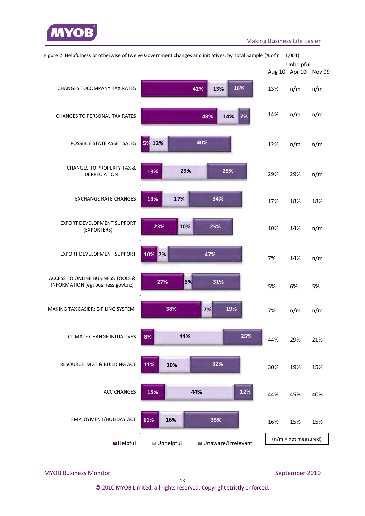

|                                                                         |                                            | Unhelpful |                        |     |
|-------------------------------------------------------------------------|--------------------------------------------|-----------|------------------------|-----|
|                                                                         |                                            |           | Aug 10 Apr 10 Nov 09   |     |
| <b>CHANGES TOCOMPANY TAX RATES</b>                                      | 16%<br>13%<br>42%                          | 13%       | n/m                    | n/m |
| <b>CHANGES TO PERSONAL TAX RATES</b>                                    | 14%<br>7%<br>48%                           | 14%       | n/m                    | n/m |
| POSSIBLE STATE ASSET SALES                                              | 40%<br>5% 12%                              | 12%       | n/m                    | n/m |
| <b>CHANGES TO PROPERTY TAX &amp;</b><br><b>DEPRECIATION</b>             | 29%<br>25%<br>13%                          | 29%       | 29%                    | n/m |
| <b>EXCHANGE RATE CHANGES</b>                                            | 34%<br>13%<br>17%                          | 17%       | 18%                    | 18% |
| EXPORT DEVELOPMENT SUPPORT<br>(EXPORTERS)                               | 10%<br>25%<br>23%                          | 10%       | 14%                    | n/m |
| EXPORT DEVELOPMENT SUPPORT                                              | 10% 7%<br>47%                              | 7%        | 14%                    | n/m |
| ACCESS TO ONLINE BUSINESS TOOLS &<br>INFORMATION (eg: business.govt.nz) | 5%<br>27%<br>31%                           | 5%        | 6%                     | 5%  |
| MAKING TAX EASIER: E-FILING SYSTEM                                      | 38%<br>19%<br>7%                           | 7%        | n/m                    | n/m |
| <b>CLIMATE CHANGE INITIATIVES</b>                                       | 25%<br>44%<br>8%                           | 44%       | 29%                    | 21% |
| RESOURCE MGT & BUILDING ACT                                             | 32%<br>11%<br>20%                          | 30%       | 19%                    | 15% |
| <b>ACC CHANGES</b>                                                      | 12%<br>15%<br>44%                          | 44%       | 45%                    | 40% |
| EMPLOYMENT/HOLIDAY ACT                                                  | 11%<br>16%<br>35%                          | 16%       | 15%                    | 15% |
| Helpful                                                                 | <b>■</b> Unhelpful<br>■ Unaware/Irrelevant |           | $(n/m = not measured)$ |     |

Figure 2: Helpfulness or otherwise of twelve Government changes and initiatives, by Total Sample (% of n = 1,001)

MYOB Business Monitor *September 2010*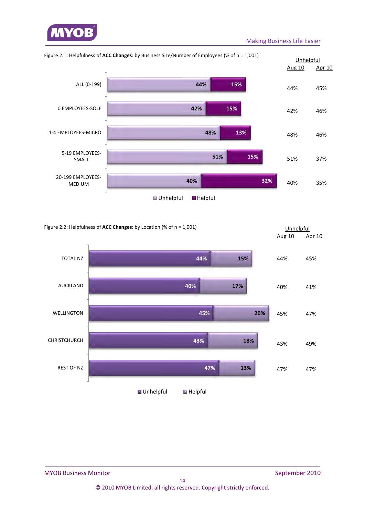

#### Making Business Life Easier





#### MYOB Business Monitor *MYOB Business Monitor* *September 2010*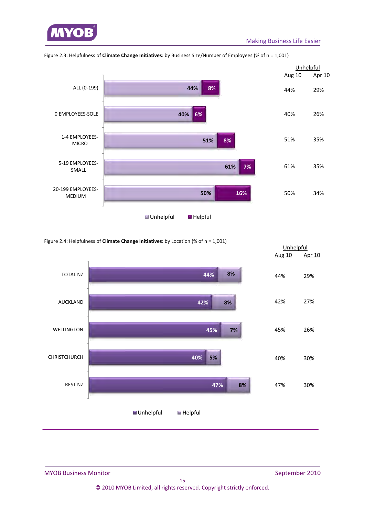



Figure 2.3: Helpfulness of **Climate Change Initiatives**: by Business Size/Number of Employees (% of n = 1,001)

Figure 2.4: Helpfulness of **Climate Change Initiatives**: by Location (% of n = 1,001)

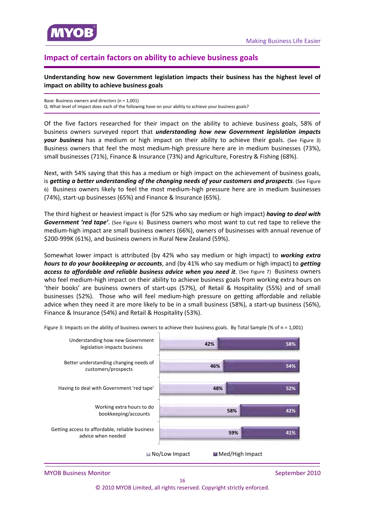<span id="page-15-0"></span>

# **Impact of certain factors on ability to achieve business goals**

**Understanding how new Government legislation impacts their business has the highest level of impact on ability to achieve business goals**

Base: Business owners and directors (n = 1,001) Q. What level of impact does each of the following have on your ability to achieve your business goals?

Of the five factors researched for their impact on the ability to achieve business goals, 58% of business owners surveyed report that *understanding how new Government legislation impacts* **your business** has a medium or high impact on their ability to achieve their goals. (See Figure 3) Business owners that feel the most medium-high pressure here are in medium businesses (73%), small businesses (71%), Finance & Insurance (73%) and Agriculture, Forestry & Fishing (68%).

Next, with 54% saying that this has a medium or high impact on the achievement of business goals, is *getting a better understanding of the changing needs of your customers and prospects*. (See Figure 6) Business owners likely to feel the most medium-high pressure here are in medium businesses (74%), start‐up businesses (65%) and Finance & Insurance (65%).

The third highest or heaviest impact is (for 52% who say medium or high impact) *having to deal with Government 'red tape'*. (See Figure 6) Business owners who most want to cut red tape to relieve the medium‐high impact are small business owners (66%), owners of businesses with annual revenue of \$200‐999K (61%), and business owners in Rural New Zealand (59%).

Somewhat lower impact is attributed (by 42% who say medium or high impact) to *working extra hours to do your bookkeeping or accounts*, and (by 41% who say medium or high impact) to *getting access to affordable and reliable business advice when you need it*. (See Figure 7) Business owners who feel medium‐high impact on their ability to achieve business goals from working extra hours on 'their books' are business owners of start‐ups (57%), of Retail & Hospitality (55%) and of small businesses (52%). Those who will feel medium‐high pressure on getting affordable and reliable advice when they need it are more likely to be in a small business (58%), a start‐up business (56%), Finance & Insurance (54%) and Retail & Hospitality (53%).



Figure 3: Impacts on the ability of business owners to achieve their business goals. By Total Sample (% of  $n = 1,001$ )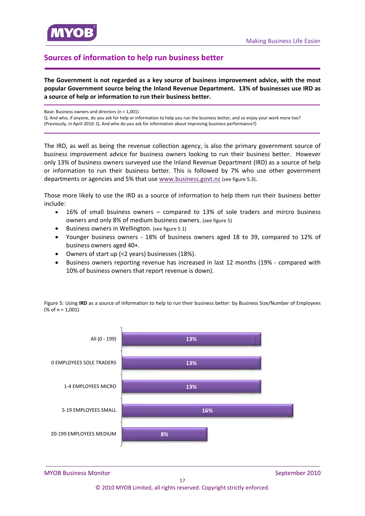<span id="page-16-0"></span>

# **Sources of information to help run business better**

**The Government is not regarded as a key source of business improvement advice, with the most popular Government source being the Inland Revenue Department. 13% of businesses use IRD as a source of help or information to run their business better.**

Base: Business owners and directors (n = 1,001)

Q. And who, if anyone, do you ask for help or information to help you run the business better, and so enjoy your work more too? (Previously, in April 2010: Q. And who do you ask for information about improving business performance?)

The IRD, as well as being the revenue collection agency, is also the primary government source of business improvement advice for business owners looking to run their business better. However only 13% of business owners surveyed use the Inland Revenue Department (IRD) as a source of help or information to run their business better. This is followed by 7% who use other government departments or agencies and 5% that use www.business.govt.nz (see figure 5.3).

Those more likely to use the IRD as a source of information to help them run their business better include:

- 16% of small bsuiness owners compared to 13% of sole traders and mircro business owners and only 8% of medium business owners. (see figure 5)
- Business owners in Wellington. (see figure 5.1)
- Younger business owners ‐ 18% of business owners aged 18 to 39, compared to 12% of business owners aged 40+.
- Owners of start up (<2 years) businesses (18%).
- Business owners reporting revenue has increased in last 12 months (19% ‐ compared with 10% of business owners that report revenue is down).

Figure 5: Using **IRD** as a source of Information to help to run their business better: by Business Size/Number of Employees (% of n = 1,001)



MYOB Business Monitor *MYOB Business Monitor*  **1999** 

17 © 2010 MYOB Limited, all rights reserved. Copyright strictly enforced.